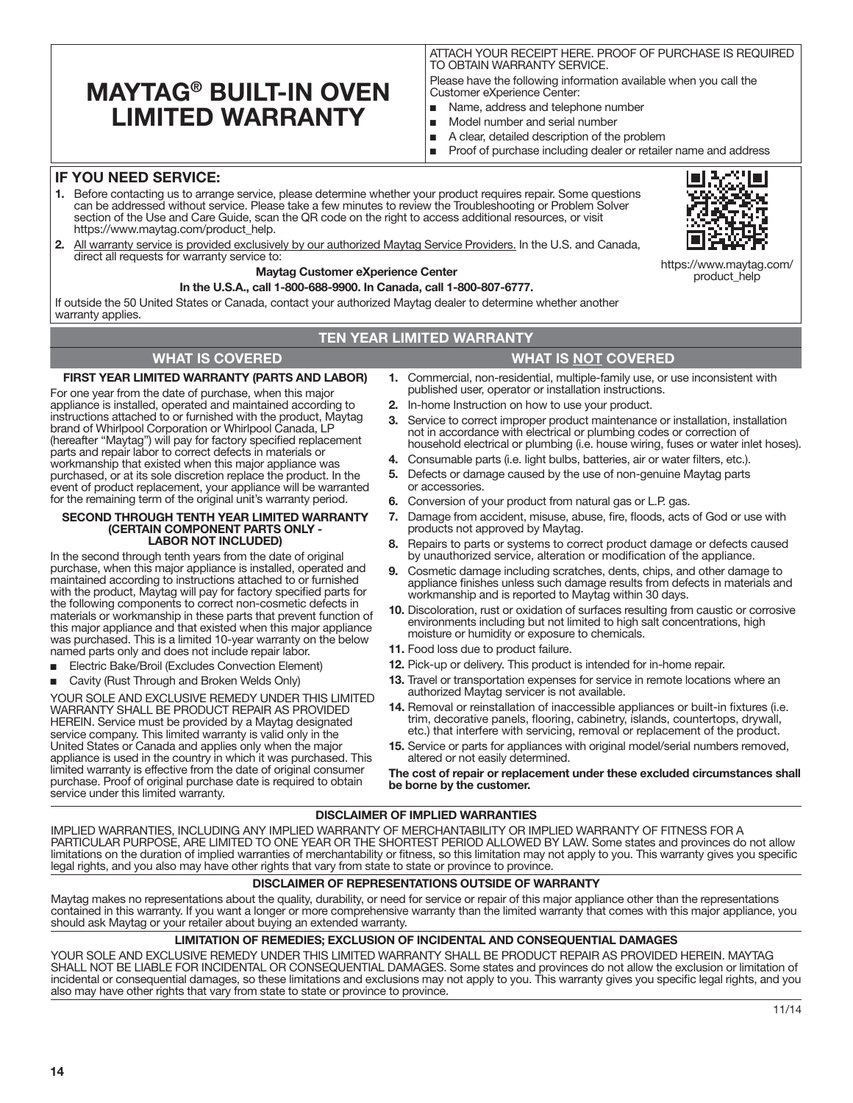# **MAYTAG® BUILT-IN OVEN LIMITED WARRANTY**

ATTACH YOUR RECEIPT HERE. PROOF OF PURCHASE IS REQUIRED TO OBTAIN WARRANTY SERVICE.

Please have the following information available when you call the Customer eXperience Center:

- Name, address and telephone number
- Model number and serial number
- A clear, detailed description of the problem
- Proof of purchase including dealer or retailer name and address

# **IF YOU NEED SERVICE:**

- **1.** Before contacting us to arrange service, please determine whether your product requires repair. Some questions can be addressed without service. Please take a few minutes to review the Troubleshooting or Problem Solver section of the Use and Care Guide, scan the QR code on the right to access additional resources, or visit https://www.maytag.com/product\_help.
- **2.** All warranty service is provided exclusively by our authorized Maytag Service Providers. In the U.S. and Canada, direct all requests for warranty service to:

### **Maytag Customer eXperience Center**

### **In the U.S.A., call 1-800-688-9900. In Canada, call 1-800-807-6777.**

If outside the 50 United States or Canada, contact your authorized Maytag dealer to determine whether another warranty applies

## **TEN YEAR LIMITED WARRANTY**

## **WHAT IS COVERED WHAT IS NOT COVERED**

### **FIRST YEAR LIMITED WARRANTY (PARTS AND LABOR)**

For one year from the date of purchase, when this major appliance is installed, operated and maintained according to instructions attached to or furnished with the product, Maytag brand of Whirlpool Corporation or Whirlpool Canada, LP (hereafter "Maytag") will pay for factory specified replacement parts and repair labor to correct defects in materials or workmanship that existed when this major appliance was purchased, or at its sole discretion replace the product. In the event of product replacement, your appliance will be warranted for the remaining term of the original unit's warranty period.

#### **SECOND THROUGH TENTH YEAR LIMITED WARRANTY (CERTAIN COMPONENT PARTS ONLY - LABOR NOT INCLUDED)**

In the second through tenth years from the date of original purchase, when this major appliance is installed, operated and maintained according to instructions attached to or furnished with the product, Maytag will pay for factory specified parts for the following components to correct non-cosmetic defects in materials or workmanship in these parts that prevent function of this major appliance and that existed when this major appliance was purchased. This is a limited 10-year warranty on the below named parts only and does not include repair labor.

- Electric Bake/Broil (Excludes Convection Element)
- Cavity (Rust Through and Broken Welds Only)

YOUR SOLE AND EXCLUSIVE REMEDY UNDER THIS LIMITED WARRANTY SHALL BE PRODUCT REPAIR AS PROVIDED HEREIN. Service must be provided by a Maytag designated service company. This limited warranty is valid only in the United States or Canada and applies only when the major appliance is used in the country in which it was purchased. This limited warranty is effective from the date of original consumer purchase. Proof of original purchase date is required to obtain service under this limited warranty.

**1.** Commercial, non-residential, multiple-family use, or use inconsistent with published user, operator or installation instructions.

- **2.** In-home Instruction on how to use your product.
- **3.** Service to correct improper product maintenance or installation, installation not in accordance with electrical or plumbing codes or correction of household electrical or plumbing (i.e. house wiring, fuses or water inlet hoses).
- **4.** Consumable parts (i.e. light bulbs, batteries, air or water filters, etc.).
- **5.** Defects or damage caused by the use of non-genuine Maytag parts or accessories.
- **6.** Conversion of your product from natural gas or L.P. gas.
- **7.** Damage from accident, misuse, abuse, fire, floods, acts of God or use with products not approved by Maytag.
- **8.** Repairs to parts or systems to correct product damage or defects caused by unauthorized service, alteration or modification of the appliance.
- **9.** Cosmetic damage including scratches, dents, chips, and other damage to appliance finishes unless such damage results from defects in materials and workmanship and is reported to Maytag within 30 days.
- **10.** Discoloration, rust or oxidation of surfaces resulting from caustic or corrosive environments including but not limited to high salt concentrations, high moisture or humidity or exposure to chemicals.
- **11.** Food loss due to product failure.
- **12.** Pick-up or delivery. This product is intended for in-home repair.
- **13.** Travel or transportation expenses for service in remote locations where an authorized Maytag servicer is not available.
- **14.** Removal or reinstallation of inaccessible appliances or built-in fixtures (i.e. trim, decorative panels, flooring, cabinetry, islands, countertops, drywall, etc.) that interfere with servicing, removal or replacement of the product.
- **15.** Service or parts for appliances with original model/serial numbers removed, altered or not easily determined.

**The cost of repair or replacement under these excluded circumstances shall be borne by the customer.** 

### **DISCLAIMER OF IMPLIED WARRANTIES**

IMPLIED WARRANTIES, INCLUDING ANY IMPLIED WARRANTY OF MERCHANTABILITY OR IMPLIED WARRANTY OF FITNESS FOR A PARTICULAR PURPOSE, ARE LIMITED TO ONE YEAR OR THE SHORTEST PERIOD ALLOWED BY LAW. Some states and provinces do not allow limitations on the duration of implied warranties of merchantability or fitness, so this limitation may not apply to you. This warranty gives you specific legal rights, and you also may have other rights that vary from state to state or province to province.

### **DISCLAIMER OF REPRESENTATIONS OUTSIDE OF WARRANTY**

Maytag makes no representations about the quality, durability, or need for service or repair of this major appliance other than the representations contained in this warranty. If you want a longer or more comprehensive warranty than the limited warranty that comes with this major appliance, you should ask Maytag or your retailer about buying an extended warranty.

## **LIMITATION OF REMEDIES; EXCLUSION OF INCIDENTAL AND CONSEQUENTIAL DAMAGES**

YOUR SOLE AND EXCLUSIVE REMEDY UNDER THIS LIMITED WARRANTY SHALL BE PRODUCT REPAIR AS PROVIDED HEREIN. MAYTAG SHALL NOT BE LIABLE FOR INCIDENTAL OR CONSEQUENTIAL DAMAGES. Some states and provinces do not allow the exclusion or limitation of incidental or consequential damages, so these limitations and exclusions may not apply to you. This warranty gives you specific legal rights, and you also may have other rights that vary from state to state or province to province.



https://www.maytag.com/ product\_help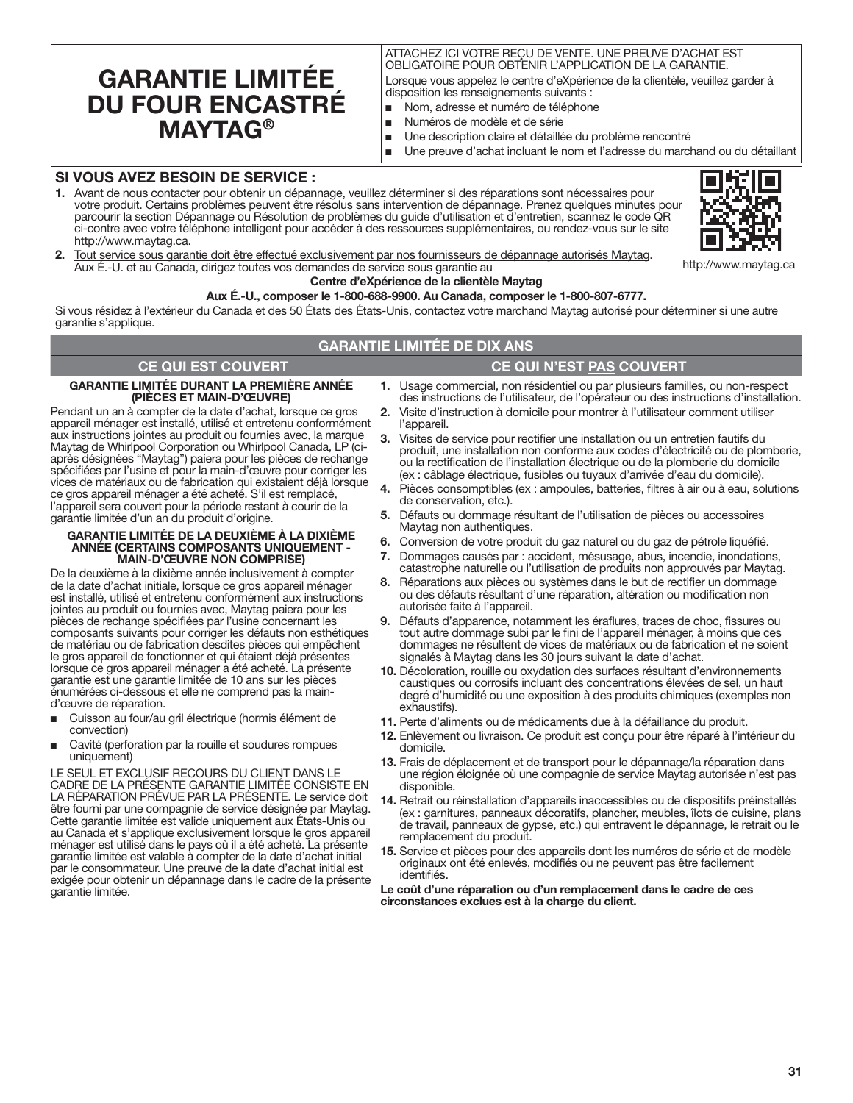# **GARANTIE LIMITÉE DU FOUR ENCASTRÉ MAYTAG®**

# ATTACHEZ ICI VOTRE REÇU DE VENTE. UNE PREUVE D'ACHAT EST OBLIGATOIRE POUR OBTENIR L'APPLICATION DE LA GARANTIE.

Lorsque vous appelez le centre d'eXpérience de la clientèle, veuillez garder à disposition les renseignements suivants :

- Nom, adresse et numéro de téléphone
- Numéros de modèle et de série
- Une description claire et détaillée du problème rencontré
- Une preuve d'achat incluant le nom et l'adresse du marchand ou du détaillant

# **SI VOUS AVEZ BESOIN DE SERVICE :**

**1.** Avant de nous contacter pour obtenir un dépannage, veuillez déterminer si des réparations sont nécessaires pour votre produit. Certains problèmes peuvent être résolus sans intervention de dépannage. Prenez quelques minutes pour parcourir la section Dépannage ou Résolution de problèmes du guide d'utilisation et d'entretien, scannez le code QR ci-contre avec votre téléphone intelligent pour accéder à des ressources supplémentaires, ou rendez-vous sur le site http://www.maytag.ca.



http://www.maytag.ca

**2.** Tout service sous garantie doit être effectué exclusivement par nos fournisseurs de dépannage autorisés Maytag. Aux É.-U. et au Canada, dirigez toutes vos demandes de service sous garantie au

### **Centre d'eXpérience de la clientèle Maytag**

**Aux É.-U., composer le 1-800-688-9900. Au Canada, composer le 1-800-807-6777.**

Si vous résidez à l'extérieur du Canada et des 50 États des États-Unis, contactez votre marchand Maytag autorisé pour déterminer si une autre garantie s'applique.

# **GARANTIE LIMITÉE DE DIX ANS**

# **CE QUI EST COUVERT CE QUI N'EST PAS COUVERT**

**GARANTIE LIMITÉE DURANT LA PREMIÈRE ANNÉE** 

**(PIÈCES ET MAIN-D'ŒUVRE)** Pendant un an à compter de la date d'achat, lorsque ce gros appareil ménager est installé, utilisé et entretenu conformément aux instructions jointes au produit ou fournies avec, la marque Maytag de Whirlpool Corporation ou Whirlpool Canada, LP (ciaprès désignées "Maytag") paiera pour les pièces de rechange spécifiées par l'usine et pour la main-d'œuvre pour corriger les vices de matériaux ou de fabrication qui existaient déjà lorsque ce gros appareil ménager a été acheté. S'il est remplacé, l'appareil sera couvert pour la période restant à courir de la garantie limitée d'un an du produit d'origine.

#### **GARANTIE LIMITÉE DE LA DEUXIÈME À LA DIXIÈME ANNÉE (CERTAINS COMPOSANTS UNIQUEMENT - MAIN-D'ŒUVRE NON COMPRISE)**

De la deuxième à la dixième année inclusivement à compter de la date d'achat initiale, lorsque ce gros appareil ménager est installé, utilisé et entretenu conformément aux instructions jointes au produit ou fournies avec, Maytag paiera pour les pièces de rechange spécifiées par l'usine concernant les composants suivants pour corriger les défauts non esthétiques de matériau ou de fabrication desdites pièces qui empêchent le gros appareil de fonctionner et qui étaient déjà présentes lorsque ce gros appareil ménager a été acheté. La présente garantie est une garantie limitée de 10 ans sur les pièces énumérées ci-dessous et elle ne comprend pas la maind'œuvre de réparation.

- Cuisson au four/au gril électrique (hormis élément de convection)
- Cavité (perforation par la rouille et soudures rompues uniquement)

LE SEUL ET EXCLUSIF RECOURS DU CLIENT DANS LE CADRE DE LA PRÉSENTE GARANTIE LIMITÉE CONSISTE EN LA RÉPARATION PRÉVUE PAR LA PRÉSENTE. Le service doit être fourni par une compagnie de service désignée par Maytag. Cette garantie limitée est valide uniquement aux États-Unis ou au Canada et s'applique exclusivement lorsque le gros appareil ménager est utilisé dans le pays où il a été acheté. La présente garantie limitée est valable à compter de la date d'achat initial par le consommateur. Une preuve de la date d'achat initial est exigée pour obtenir un dépannage dans le cadre de la présente garantie limitée.

- **1.** Usage commercial, non résidentiel ou par plusieurs familles, ou non-respect des instructions de l'utilisateur, de l'opérateur ou des instructions d'installation.
- **2.** Visite d'instruction à domicile pour montrer à l'utilisateur comment utiliser l'appareil.
- **3.** Visites de service pour rectifier une installation ou un entretien fautifs du produit, une installation non conforme aux codes d'électricité ou de plomberie, ou la rectification de l'installation électrique ou de la plomberie du domicile (ex : câblage électrique, fusibles ou tuyaux d'arrivée d'eau du domicile).
- **4.** Pièces consomptibles (ex : ampoules, batteries, filtres à air ou à eau, solutions de conservation, etc.).
- **5.** Défauts ou dommage résultant de l'utilisation de pièces ou accessoires Maytag non authentiques.
- **6.** Conversion de votre produit du gaz naturel ou du gaz de pétrole liquéfié.
- **7.** Dommages causés par : accident, mésusage, abus, incendie, inondations, catastrophe naturelle ou l'utilisation de produits non approuvés par Maytag.
- **8.** Réparations aux pièces ou systèmes dans le but de rectifier un dommage ou des défauts résultant d'une réparation, altération ou modification non autorisée faite à l'appareil.
- **9.** Défauts d'apparence, notamment les éraflures, traces de choc, fissures ou tout autre dommage subi par le fini de l'appareil ménager, à moins que ces dommages ne résultent de vices de matériaux ou de fabrication et ne soient signalés à Maytag dans les 30 jours suivant la date d'achat.
- **10.** Décoloration, rouille ou oxydation des surfaces résultant d'environnements caustiques ou corrosifs incluant des concentrations élevées de sel, un haut degré d'humidité ou une exposition à des produits chimiques (exemples non exhaustifs).
- **11.** Perte d'aliments ou de médicaments due à la défaillance du produit.
- **12.** Enlèvement ou livraison. Ce produit est conçu pour être réparé à l'intérieur du domicile.
- **13.** Frais de déplacement et de transport pour le dépannage/la réparation dans une région éloignée où une compagnie de service Maytag autorisée n'est pas disponible.
- **14.** Retrait ou réinstallation d'appareils inaccessibles ou de dispositifs préinstallés (ex : garnitures, panneaux décoratifs, plancher, meubles, îlots de cuisine, plans de travail, panneaux de gypse, etc.) qui entravent le dépannage, le retrait ou le remplacement du produit.
- **15.** Service et pièces pour des appareils dont les numéros de série et de modèle originaux ont été enlevés, modifiés ou ne peuvent pas être facilement identifiés.

**Le coût d'une réparation ou d'un remplacement dans le cadre de ces circonstances exclues est à la charge du client.**